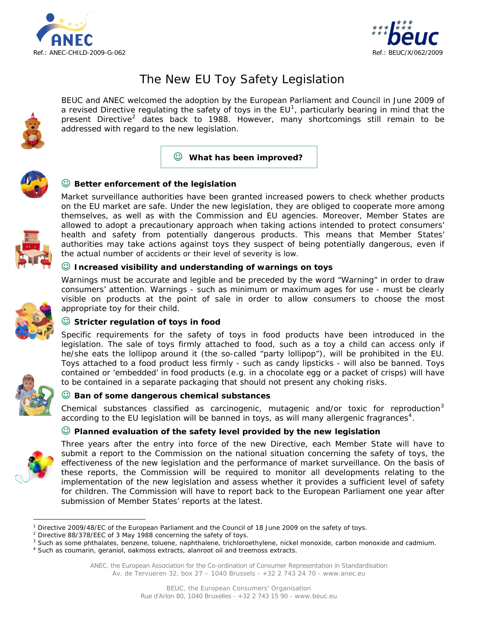



# The New EU Toy Safety Legislation

BEUC and ANEC welcomed the adoption by the [European Parliament](http://www.europarl.europa.eu/sides/getDoc.do?pubRef=-//EP//TEXT+TA+P6-TA-2008-0626+0+DOC+XML+V0//EN) and Council in June 2009 of a revised Directive regulating the safety of toys in the  $EU^1$  $EU^1$ , particularly bearing in mind that the present Directive<sup>[2](#page-0-1)</sup> dates back to 1988. However, many shortcomings still remain to be addressed with regard to the new legislation.

## ☺ **What has been improved?**



# ☺ **Better enforcement of the legislation**

Market surveillance authorities have been granted increased powers to check whether products on the EU market are safe. Under the new legislation, they are obliged to cooperate more among themselves, as well as with the Commission and EU agencies. Moreover, Member States are allowed to adopt a precautionary approach when taking actions intended to protect consumers' health and safety from potentially dangerous products. This means that Member States' authorities may take actions against toys they suspect of being potentially dangerous, even if the actual number of accidents or their level of severity is low.

#### ☺ **Increased visibility and understanding of warnings on toys**

Warnings must be accurate and legible and be preceded by the word "Warning" in order to draw consumers' attention. Warnings - such as minimum or maximum ages for use - must be clearly visible on products at the point of sale in order to allow consumers to choose the most appropriate toy for their child.



## ☺ **Stricter regulation of toys in food**

Specific requirements for the safety of toys in food products have been introduced in the legislation. The sale of toys firmly attached to food, such as a toy a child can access only if he/she eats the lollipop around it (the so-called "party lollipop"), will be prohibited in the EU. Toys attached to a food product less firmly - such as candy lipsticks - will also be banned. Toys contained or 'embedded' in food products (e.g. in a chocolate egg or a packet of crisps) will have to be contained in a separate packaging that should not present any choking risks.



#### ☺ **Ban of some dangerous chemical substances**

Chemical substances classified as carcinogenic, mutagenic and/or toxic for reproduction $3$ according to the EU legislation will be banned in toys, as will many allergenic fragrances<sup>[4](#page-0-3)</sup>.

## ☺ **Planned evaluation of the safety level provided by the new legislation**



 $\overline{a}$ 

Three years after the entry into force of the new Directive, each Member State will have to submit a report to the Commission on the national situation concerning the safety of toys, the effectiveness of the new legislation and the performance of market surveillance. On the basis of these reports, the Commission will be required to monitor all developments relating to the implementation of the new legislation and assess whether it provides a sufficient level of safety for children. The Commission will have to report back to the European Parliament one year after submission of Member States' reports at the latest.

<span id="page-0-2"></span><sup>3</sup> Such as some phthalates, benzene, toluene, naphthalene, trichloroethylene, nickel monoxide, carbon monoxide and cadmium.<br><sup>4</sup> Such as coumarin, gerapiel, oakmess extracts, alanreet eil and treemess extracts.

<span id="page-0-3"></span><sup>4</sup> Such as coumarin, geraniol, oakmoss extracts, alanroot oil and treemoss extracts.

<span id="page-0-0"></span><sup>1</sup> Directive 2009/48/EC of the European Parliament and the Council of 18 June 2009 on the safety of toys.

<span id="page-0-1"></span> $2$  Directive 88/378/EEC of 3 May 1988 concerning the safety of toys.

ANEC, the European Association for the Co-ordination of Consumer Representation in Standardisation Av. de Tervueren 32, box 27 – 1040 Brussels - +32 2 743 24 70 - www.anec.eu